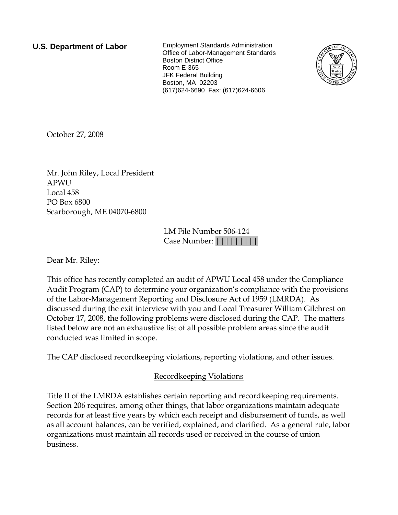**U.S. Department of Labor** Employment Standards Administration Office of Labor-Management Standards Boston District Office Room E-365 JFK Federal Building Boston, MA 02203 (617)624-6690 Fax: (617)624-6606



October 27, 2008

Mr. John Riley, Local President APWU Local 458 PO Box 6800 Scarborough, ME 04070-6800

> LM File Number 506-124 Case Number: |||||||||

Dear Mr. Riley:

This office has recently completed an audit of APWU Local 458 under the Compliance Audit Program (CAP) to determine your organization's compliance with the provisions of the Labor-Management Reporting and Disclosure Act of 1959 (LMRDA). As discussed during the exit interview with you and Local Treasurer William Gilchrest on October 17, 2008, the following problems were disclosed during the CAP. The matters listed below are not an exhaustive list of all possible problem areas since the audit conducted was limited in scope.

The CAP disclosed recordkeeping violations, reporting violations, and other issues.

# Recordkeeping Violations

Title II of the LMRDA establishes certain reporting and recordkeeping requirements. Section 206 requires, among other things, that labor organizations maintain adequate records for at least five years by which each receipt and disbursement of funds, as well as all account balances, can be verified, explained, and clarified. As a general rule, labor organizations must maintain all records used or received in the course of union business.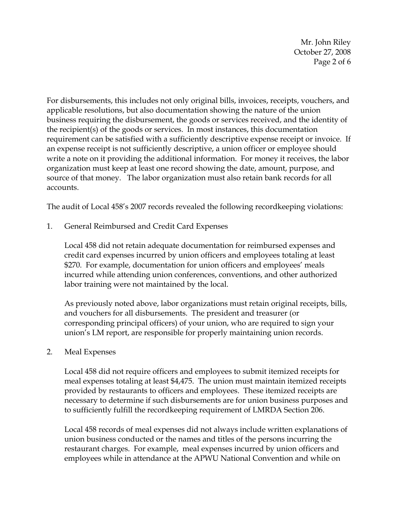Mr. John Riley October 27, 2008 Page 2 of 6

For disbursements, this includes not only original bills, invoices, receipts, vouchers, and applicable resolutions, but also documentation showing the nature of the union business requiring the disbursement, the goods or services received, and the identity of the recipient(s) of the goods or services. In most instances, this documentation requirement can be satisfied with a sufficiently descriptive expense receipt or invoice. If an expense receipt is not sufficiently descriptive, a union officer or employee should write a note on it providing the additional information. For money it receives, the labor organization must keep at least one record showing the date, amount, purpose, and source of that money. The labor organization must also retain bank records for all accounts.

The audit of Local 458's 2007 records revealed the following recordkeeping violations:

1. General Reimbursed and Credit Card Expenses

Local 458 did not retain adequate documentation for reimbursed expenses and credit card expenses incurred by union officers and employees totaling at least \$270. For example, documentation for union officers and employees' meals incurred while attending union conferences, conventions, and other authorized labor training were not maintained by the local.

As previously noted above, labor organizations must retain original receipts, bills, and vouchers for all disbursements. The president and treasurer (or corresponding principal officers) of your union, who are required to sign your union's LM report, are responsible for properly maintaining union records.

### 2. Meal Expenses

Local 458 did not require officers and employees to submit itemized receipts for meal expenses totaling at least \$4,475. The union must maintain itemized receipts provided by restaurants to officers and employees. These itemized receipts are necessary to determine if such disbursements are for union business purposes and to sufficiently fulfill the recordkeeping requirement of LMRDA Section 206.

Local 458 records of meal expenses did not always include written explanations of union business conducted or the names and titles of the persons incurring the restaurant charges. For example, meal expenses incurred by union officers and employees while in attendance at the APWU National Convention and while on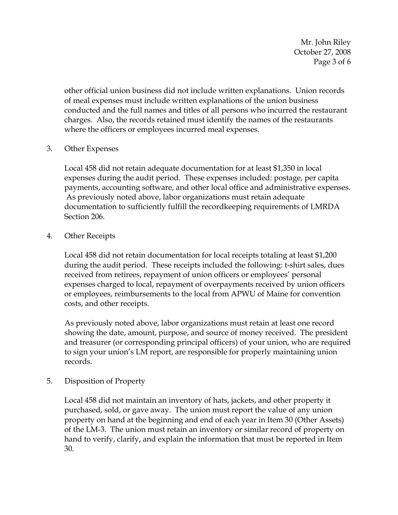Mr. John Riley October 27, 2008 Page 3 of 6

other official union business did not include written explanations. Union records of meal expenses must include written explanations of the union business conducted and the full names and titles of all persons who incurred the restaurant charges. Also, the records retained must identify the names of the restaurants where the officers or employees incurred meal expenses.

### 3. Other Expenses

Local 458 did not retain adequate documentation for at least \$1,350 in local expenses during the audit period. These expenses included: postage, per capita payments, accounting software, and other local office and administrative expenses. As previously noted above, labor organizations must retain adequate documentation to sufficiently fulfill the recordkeeping requirements of LMRDA Section 206.

### 4. Other Receipts

Local 458 did not retain documentation for local receipts totaling at least \$1,200 during the audit period. These receipts included the following: t-shirt sales, dues received from retirees, repayment of union officers or employees' personal expenses charged to local, repayment of overpayments received by union officers or employees, reimbursements to the local from APWU of Maine for convention costs, and other receipts.

As previously noted above, labor organizations must retain at least one record showing the date, amount, purpose, and source of money received. The president and treasurer (or corresponding principal officers) of your union, who are required to sign your union's LM report, are responsible for properly maintaining union records.

### 5. Disposition of Property

Local 458 did not maintain an inventory of hats, jackets, and other property it purchased, sold, or gave away. The union must report the value of any union property on hand at the beginning and end of each year in Item 30 (Other Assets) of the LM-3. The union must retain an inventory or similar record of property on hand to verify, clarify, and explain the information that must be reported in Item 30.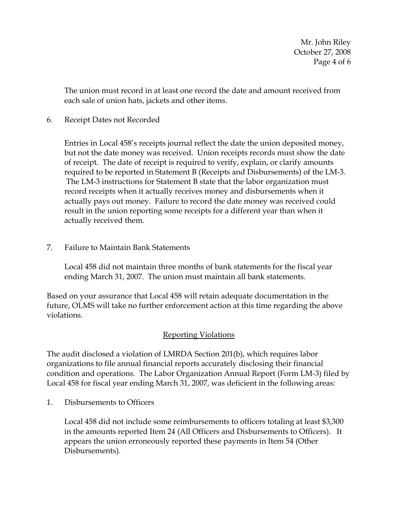Mr. John Riley October 27, 2008 Page 4 of 6

The union must record in at least one record the date and amount received from each sale of union hats, jackets and other items.

6. Receipt Dates not Recorded

Entries in Local 458's receipts journal reflect the date the union deposited money, but not the date money was received. Union receipts records must show the date of receipt. The date of receipt is required to verify, explain, or clarify amounts required to be reported in Statement B (Receipts and Disbursements) of the LM-3. The LM-3 instructions for Statement B state that the labor organization must record receipts when it actually receives money and disbursements when it actually pays out money. Failure to record the date money was received could result in the union reporting some receipts for a different year than when it actually received them.

7. Failure to Maintain Bank Statements

Local 458 did not maintain three months of bank statements for the fiscal year ending March 31, 2007. The union must maintain all bank statements.

Based on your assurance that Local 458 will retain adequate documentation in the future, OLMS will take no further enforcement action at this time regarding the above violations.

# Reporting Violations

The audit disclosed a violation of LMRDA Section 201(b), which requires labor organizations to file annual financial reports accurately disclosing their financial condition and operations. The Labor Organization Annual Report (Form LM-3) filed by Local 458 for fiscal year ending March 31, 2007, was deficient in the following areas:

1. Disbursements to Officers

Local 458 did not include some reimbursements to officers totaling at least \$3,300 in the amounts reported Item 24 (All Officers and Disbursements to Officers). It appears the union erroneously reported these payments in Item 54 (Other Disbursements).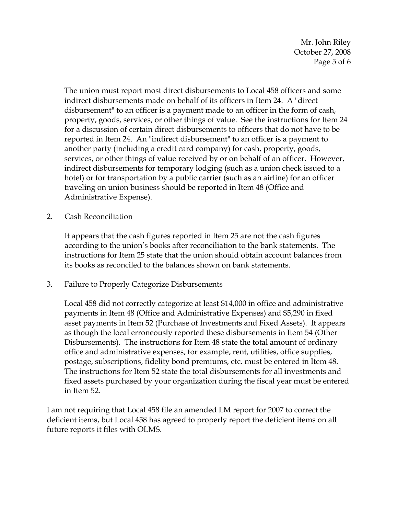Mr. John Riley October 27, 2008 Page 5 of 6

The union must report most direct disbursements to Local 458 officers and some indirect disbursements made on behalf of its officers in Item 24. A "direct disbursement" to an officer is a payment made to an officer in the form of cash, property, goods, services, or other things of value. See the instructions for Item 24 for a discussion of certain direct disbursements to officers that do not have to be reported in Item 24. An "indirect disbursement" to an officer is a payment to another party (including a credit card company) for cash, property, goods, services, or other things of value received by or on behalf of an officer. However, indirect disbursements for temporary lodging (such as a union check issued to a hotel) or for transportation by a public carrier (such as an airline) for an officer traveling on union business should be reported in Item 48 (Office and Administrative Expense).

2. Cash Reconciliation

It appears that the cash figures reported in Item 25 are not the cash figures according to the union's books after reconciliation to the bank statements. The instructions for Item 25 state that the union should obtain account balances from its books as reconciled to the balances shown on bank statements.

3. Failure to Properly Categorize Disbursements

Local 458 did not correctly categorize at least \$14,000 in office and administrative payments in Item 48 (Office and Administrative Expenses) and \$5,290 in fixed asset payments in Item 52 (Purchase of Investments and Fixed Assets). It appears as though the local erroneously reported these disbursements in Item 54 (Other Disbursements). The instructions for Item 48 state the total amount of ordinary office and administrative expenses, for example, rent, utilities, office supplies, postage, subscriptions, fidelity bond premiums, etc. must be entered in Item 48. The instructions for Item 52 state the total disbursements for all investments and fixed assets purchased by your organization during the fiscal year must be entered in Item 52.

I am not requiring that Local 458 file an amended LM report for 2007 to correct the deficient items, but Local 458 has agreed to properly report the deficient items on all future reports it files with OLMS.